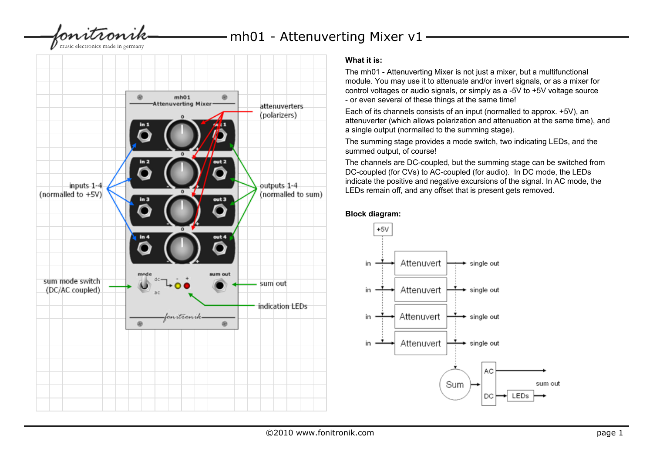lonitronik

 $-$  mh01 - Attenuverting Mixer v1

music electronics made in germany



# **What it is:**

The mh01 - Attenuverting Mixer is not just a mixer, but a multifunctional module. You may use it to attenuate and/or invert signals, or as a mixer for control voltages or audio signals, or simply as a -5V to +5V voltage source - or even several of these things at the same time!

Each of its channels consists of an input (normalled to approx. +5V), an attenuverter (which allows polarization and attenuation at the same time), and a single output (normalled to the summing stage).

The summing stage provides a mode switch, two indicating LEDs, and the summed output, of course!

The channels are DC-coupled, but the summing stage can be switched from DC-coupled (for CVs) to AC-coupled (for audio). In DC mode, the LEDs indicate the positive and negative excursions of the signal. In AC mode, the LEDs remain off, and any offset that is present gets removed.

#### **Block diagram:**

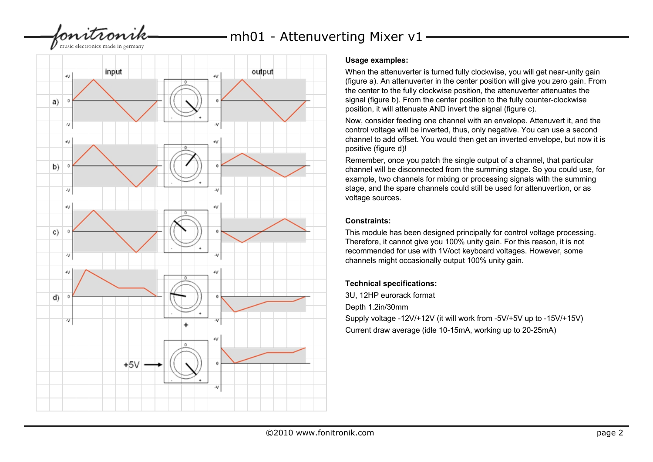bonitronik

music electronics made in germany



#### **Usage examples:**

mh01 - Attenuverting Mixer v1

When the attenuverter is turned fully clockwise, you will get near-unity gain (figure a). An attenuverter in the center position will give you zero gain. From the center to the fully clockwise position, the attenuverter attenuates the signal (figure b). From the center position to the fully counter-clockwise position, it will attenuate AND invert the signal (figure c).

Now, consider feeding one channel with an envelope. Attenuvert it, and the control voltage will be inverted, thus, only negative. You can use a second channel to add offset. You would then get an inverted envelope, but now it is positive (figure d)!

Remember, once you patch the single output of a channel, that particular channel will be disconnected from the summing stage. So you could use, for example, two channels for mixing or processing signals with the summing stage, and the spare channels could still be used for attenuvertion, or as voltage sources.

### **Constraints:**

This module has been designed principally for control voltage processing. Therefore, it cannot give you 100% unity gain. For this reason, it is not recommended for use with 1V/oct keyboard voltages. However, some channels might occasionally output 100% unity gain.

## **Technical specifications:**

3U, 12HP eurorack format Depth 1.2in/30mm Supply voltage -12V/+12V (it will work from -5V/+5V up to -15V/+15V) Current draw average (idle 10-15mA, working up to 20-25mA)